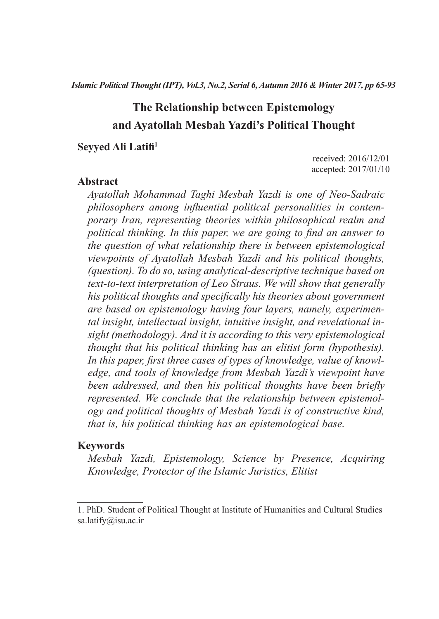# **The Relationship between Epistemology and Ayatollah Mesbah Yazdi's Political Thought**

#### **Seyyed Ali Latifi<sup>1</sup> Social Order and Security in the Holy Quran and Islamic**

received: 2016/12/01 accepted: 2017/01/10

#### Abstract

*Ayatollah Mohammad Taghi Mesbah Yazdi is one of Neo-Sadraic philosophers among influential political personalities in contem-***Abstract** *porary Iran, representing theories within philosophical realm and political thinking. In this paper, we are going to find an answer to the question of what relationship there is between epistemological a a distribution of Ayatollah Mesbah Yazdi and his political thoughts, (question). To do so, using analytical-descriptive technique based on der continues, we set the continues many being accompany continuing to the continues text on him to the more premion by zer solution the minimum governing* are based on epistemology having four layers, namely, experimen*tal insight, intellectual insight, intuitive insight, and revelational in*an analyzing methodology). And it is according to this very epistemological and Imams. This propheter and it is according to this very epistemological *explain that his political thinking has an elitist form (hypothesis). In this paper, first three cases of types of knowledge, value of knowledge, and tools of knowledge from Mesbah Yazdi's viewpoint have edge, and tools of knowledge from Mesbah Yazdi's viewpoint have been addressed, and then his political thoughts have been briefly represented.* We conclude that the relationship between epistemol*ogy and political thoughts of Mesbah Yazdi is of constructive kind, that is, his political thinking has an epistemological base. ty in Islamic tradition; prophetic life style; Shiite Imams*

#### **Keywords**

*Mesbah Yazdi, Epistemology, Science by Presence, Acquiring Knowledge, Protector of the Islamic Juristics, Elitist*

<sup>1.</sup> PhD. Student of Political Thought at Institute of Humanities and Cultural Studies sa.latify@isu.ac.ir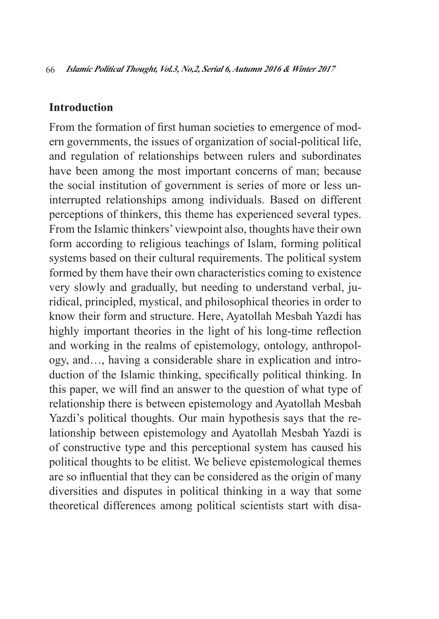#### **Introduction**

From the formation of first human societies to emergence of modern governments, the issues of organization of social-political life, and regulation of relationships between rulers and subordinates have been among the most important concerns of man; because the social institution of government is series of more or less uninterrupted relationships among individuals. Based on different perceptions of thinkers, this theme has experienced several types. From the Islamic thinkers' viewpoint also, thoughts have their own form according to religious teachings of Islam, forming political systems based on their cultural requirements. The political system formed by them have their own characteristics coming to existence very slowly and gradually, but needing to understand verbal, juridical, principled, mystical, and philosophical theories in order to know their form and structure. Here, Ayatollah Mesbah Yazdi has highly important theories in the light of his long-time reflection and working in the realms of epistemology, ontology, anthropology, and…, having a considerable share in explication and introduction of the Islamic thinking, specifically political thinking. In this paper, we will find an answer to the question of what type of relationship there is between epistemology and Ayatollah Mesbah Yazdi's political thoughts. Our main hypothesis says that the relationship between epistemology and Ayatollah Mesbah Yazdi is of constructive type and this perceptional system has caused his political thoughts to be elitist. We believe epistemological themes are so influential that they can be considered as the origin of many diversities and disputes in political thinking in a way that some theoretical differences among political scientists start with disa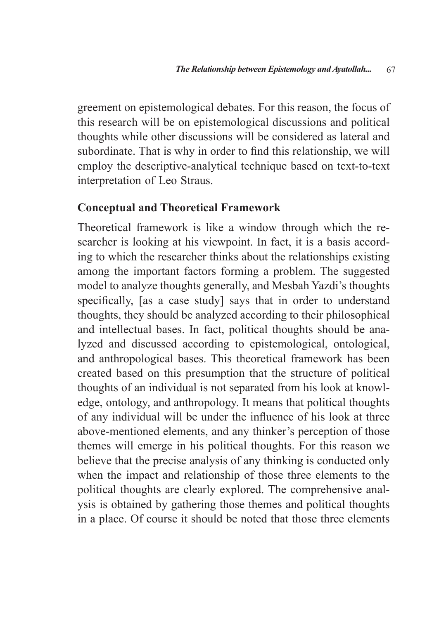greement on epistemological debates. For this reason, the focus of this research will be on epistemological discussions and political thoughts while other discussions will be considered as lateral and subordinate. That is why in order to find this relationship, we will employ the descriptive-analytical technique based on text-to-text interpretation of Leo Straus.

#### **Conceptual and Theoretical Framework**

Theoretical framework is like a window through which the researcher is looking at his viewpoint. In fact, it is a basis according to which the researcher thinks about the relationships existing among the important factors forming a problem. The suggested model to analyze thoughts generally, and Mesbah Yazdi's thoughts specifically, [as a case study] says that in order to understand thoughts, they should be analyzed according to their philosophical and intellectual bases. In fact, political thoughts should be analyzed and discussed according to epistemological, ontological, and anthropological bases. This theoretical framework has been created based on this presumption that the structure of political thoughts of an individual is not separated from his look at knowledge, ontology, and anthropology. It means that political thoughts of any individual will be under the influence of his look at three above-mentioned elements, and any thinker's perception of those themes will emerge in his political thoughts. For this reason we believe that the precise analysis of any thinking is conducted only when the impact and relationship of those three elements to the political thoughts are clearly explored. The comprehensive analysis is obtained by gathering those themes and political thoughts in a place. Of course it should be noted that those three elements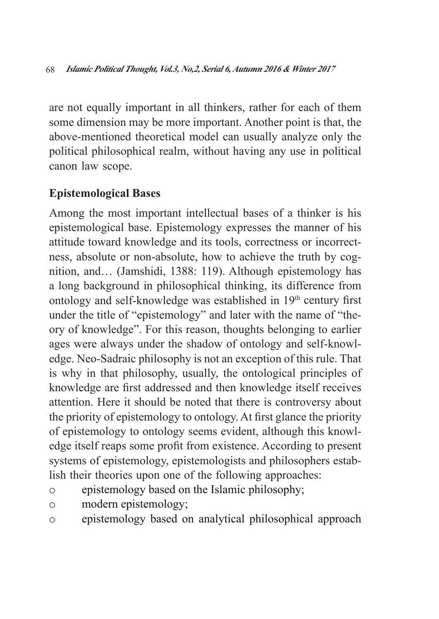are not equally important in all thinkers, rather for each of them some dimension may be more important. Another point is that, the above-mentioned theoretical model can usually analyze only the political philosophical realm, without having any use in political canon law scope.

## **Epistemological Bases**

Among the most important intellectual bases of a thinker is his epistemological base. Epistemology expresses the manner of his attitude toward knowledge and its tools, correctness or incorrectness, absolute or non-absolute, how to achieve the truth by cognition, and… (Jamshidi, 1388: 119). Although epistemology has a long background in philosophical thinking, its difference from ontology and self-knowledge was established in  $19<sup>th</sup>$  century first under the title of "epistemology" and later with the name of "theory of knowledge". For this reason, thoughts belonging to earlier ages were always under the shadow of ontology and self-knowledge. Neo-Sadraic philosophy is not an exception of this rule. That is why in that philosophy, usually, the ontological principles of knowledge are first addressed and then knowledge itself receives attention. Here it should be noted that there is controversy about the priority of epistemology to ontology. At first glance the priority of epistemology to ontology seems evident, although this knowledge itself reaps some profit from existence. According to present systems of epistemology, epistemologists and philosophers establish their theories upon one of the following approaches:

- o epistemology based on the Islamic philosophy;
- o modern epistemology;
- o epistemology based on analytical philosophical approach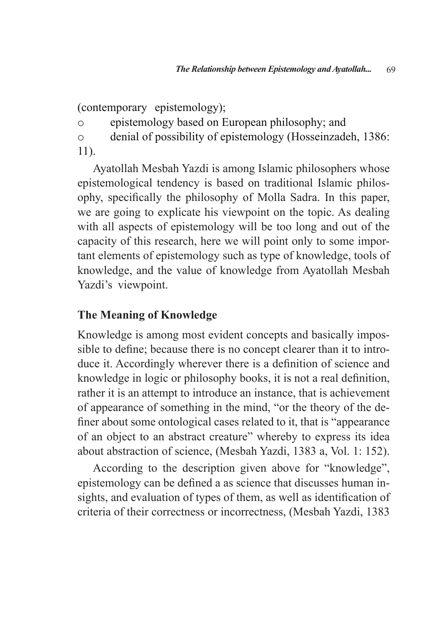(contemporary epistemology);

o epistemology based on European philosophy; and

o denial of possibility of epistemology (Hosseinzadeh, 1386: 11).

Ayatollah Mesbah Yazdi is among Islamic philosophers whose epistemological tendency is based on traditional Islamic philosophy, specifically the philosophy of Molla Sadra. In this paper, we are going to explicate his viewpoint on the topic. As dealing with all aspects of epistemology will be too long and out of the capacity of this research, here we will point only to some important elements of epistemology such as type of knowledge, tools of knowledge, and the value of knowledge from Ayatollah Mesbah Yazdi's viewpoint.

## **The Meaning of Knowledge**

Knowledge is among most evident concepts and basically impossible to define; because there is no concept clearer than it to introduce it. Accordingly wherever there is a definition of science and knowledge in logic or philosophy books, it is not a real definition, rather it is an attempt to introduce an instance, that is achievement of appearance of something in the mind, "or the theory of the definer about some ontological cases related to it, that is "appearance of an object to an abstract creature" whereby to express its idea about abstraction of science, (Mesbah Yazdi, 1383 a, Vol. 1: 152).

According to the description given above for "knowledge", epistemology can be defined a as science that discusses human insights, and evaluation of types of them, as well as identification of criteria of their correctness or incorrectness, (Mesbah Yazdi, 1383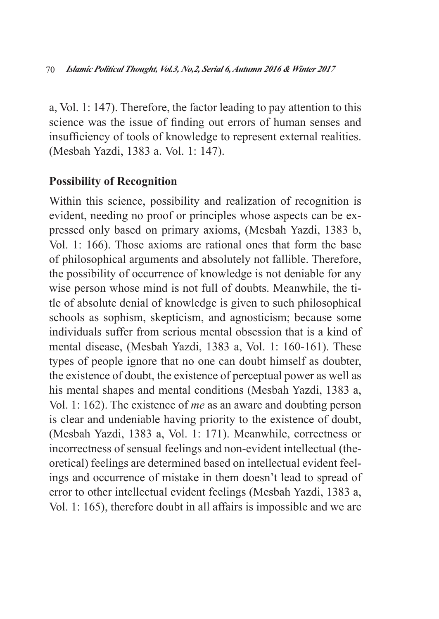a, Vol. 1: 147). Therefore, the factor leading to pay attention to this science was the issue of finding out errors of human senses and insufficiency of tools of knowledge to represent external realities. (Mesbah Yazdi, 1383 a. Vol. 1: 147).

### **Possibility of Recognition**

Within this science, possibility and realization of recognition is evident, needing no proof or principles whose aspects can be expressed only based on primary axioms, (Mesbah Yazdi, 1383 b, Vol. 1: 166). Those axioms are rational ones that form the base of philosophical arguments and absolutely not fallible. Therefore, the possibility of occurrence of knowledge is not deniable for any wise person whose mind is not full of doubts. Meanwhile, the title of absolute denial of knowledge is given to such philosophical schools as sophism, skepticism, and agnosticism; because some individuals suffer from serious mental obsession that is a kind of mental disease, (Mesbah Yazdi, 1383 a, Vol. 1: 160-161). These types of people ignore that no one can doubt himself as doubter, the existence of doubt, the existence of perceptual power as well as his mental shapes and mental conditions (Mesbah Yazdi, 1383 a, Vol. 1: 162). The existence of *me* as an aware and doubting person is clear and undeniable having priority to the existence of doubt, (Mesbah Yazdi, 1383 a, Vol. 1: 171). Meanwhile, correctness or incorrectness of sensual feelings and non-evident intellectual (theoretical) feelings are determined based on intellectual evident feelings and occurrence of mistake in them doesn't lead to spread of error to other intellectual evident feelings (Mesbah Yazdi, 1383 a, Vol. 1: 165), therefore doubt in all affairs is impossible and we are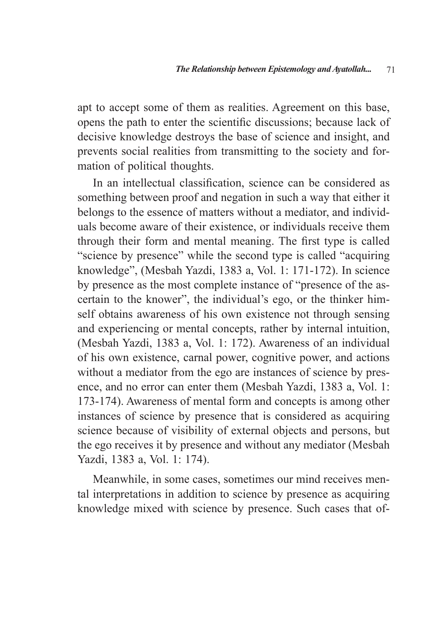apt to accept some of them as realities. Agreement on this base, opens the path to enter the scientific discussions; because lack of decisive knowledge destroys the base of science and insight, and prevents social realities from transmitting to the society and formation of political thoughts.

In an intellectual classification, science can be considered as something between proof and negation in such a way that either it belongs to the essence of matters without a mediator, and individuals become aware of their existence, or individuals receive them through their form and mental meaning. The first type is called "science by presence" while the second type is called "acquiring knowledge", (Mesbah Yazdi, 1383 a, Vol. 1: 171-172). In science by presence as the most complete instance of "presence of the ascertain to the knower", the individual's ego, or the thinker himself obtains awareness of his own existence not through sensing and experiencing or mental concepts, rather by internal intuition, (Mesbah Yazdi, 1383 a, Vol. 1: 172). Awareness of an individual of his own existence, carnal power, cognitive power, and actions without a mediator from the ego are instances of science by presence, and no error can enter them (Mesbah Yazdi, 1383 a, Vol. 1: 173-174). Awareness of mental form and concepts is among other instances of science by presence that is considered as acquiring science because of visibility of external objects and persons, but the ego receives it by presence and without any mediator (Mesbah Yazdi, 1383 a, Vol. 1: 174).

Meanwhile, in some cases, sometimes our mind receives mental interpretations in addition to science by presence as acquiring knowledge mixed with science by presence. Such cases that of-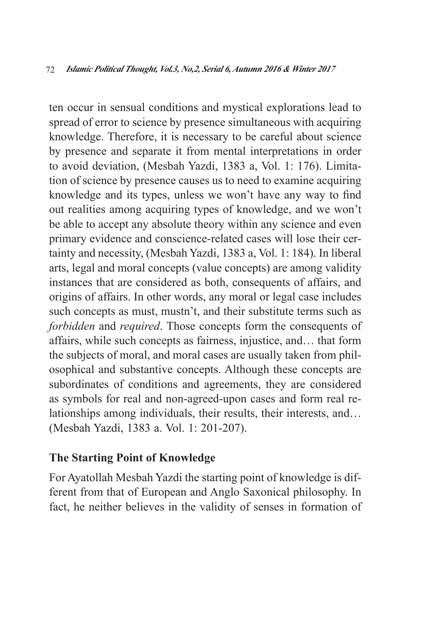ten occur in sensual conditions and mystical explorations lead to spread of error to science by presence simultaneous with acquiring knowledge. Therefore, it is necessary to be careful about science by presence and separate it from mental interpretations in order to avoid deviation, (Mesbah Yazdi, 1383 a, Vol. 1: 176). Limitation of science by presence causes us to need to examine acquiring knowledge and its types, unless we won't have any way to find out realities among acquiring types of knowledge, and we won't be able to accept any absolute theory within any science and even primary evidence and conscience-related cases will lose their certainty and necessity, (Mesbah Yazdi, 1383 a, Vol. 1: 184). In liberal arts, legal and moral concepts (value concepts) are among validity instances that are considered as both, consequents of affairs, and origins of affairs. In other words, any moral or legal case includes such concepts as must, mustn't, and their substitute terms such as *forbidden* and *required*. Those concepts form the consequents of affairs, while such concepts as fairness, injustice, and… that form the subjects of moral, and moral cases are usually taken from philosophical and substantive concepts. Although these concepts are subordinates of conditions and agreements, they are considered as symbols for real and non-agreed-upon cases and form real relationships among individuals, their results, their interests, and… (Mesbah Yazdi, 1383 a. Vol. 1: 201-207).

## **The Starting Point of Knowledge**

For Ayatollah Mesbah Yazdi the starting point of knowledge is different from that of European and Anglo Saxonical philosophy. In fact, he neither believes in the validity of senses in formation of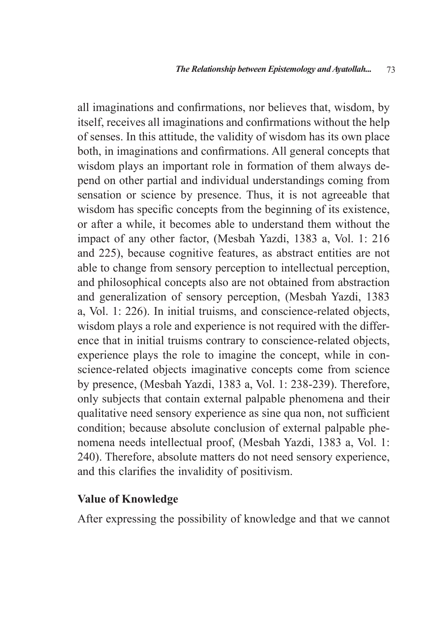all imaginations and confirmations, nor believes that, wisdom, by itself, receives all imaginations and confirmations without the help of senses. In this attitude, the validity of wisdom has its own place both, in imaginations and confirmations. All general concepts that wisdom plays an important role in formation of them always depend on other partial and individual understandings coming from sensation or science by presence. Thus, it is not agreeable that wisdom has specific concepts from the beginning of its existence, or after a while, it becomes able to understand them without the impact of any other factor, (Mesbah Yazdi, 1383 a, Vol. 1: 216 and 225), because cognitive features, as abstract entities are not able to change from sensory perception to intellectual perception, and philosophical concepts also are not obtained from abstraction and generalization of sensory perception, (Mesbah Yazdi, 1383 a, Vol. 1: 226). In initial truisms, and conscience-related objects, wisdom plays a role and experience is not required with the difference that in initial truisms contrary to conscience-related objects, experience plays the role to imagine the concept, while in conscience-related objects imaginative concepts come from science by presence, (Mesbah Yazdi, 1383 a, Vol. 1: 238-239). Therefore, only subjects that contain external palpable phenomena and their qualitative need sensory experience as sine qua non, not sufficient condition; because absolute conclusion of external palpable phenomena needs intellectual proof, (Mesbah Yazdi, 1383 a, Vol. 1: 240). Therefore, absolute matters do not need sensory experience, and this clarifies the invalidity of positivism.

#### **Value of Knowledge**

After expressing the possibility of knowledge and that we cannot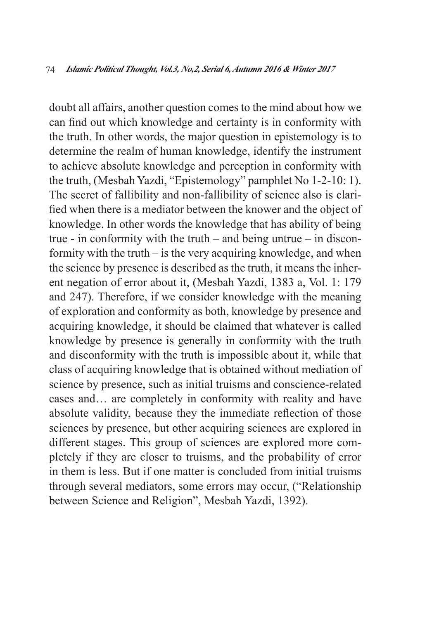doubt all affairs, another question comes to the mind about how we can find out which knowledge and certainty is in conformity with the truth. In other words, the major question in epistemology is to determine the realm of human knowledge, identify the instrument to achieve absolute knowledge and perception in conformity with the truth, (Mesbah Yazdi, "Epistemology" pamphlet No 1-2-10: 1). The secret of fallibility and non-fallibility of science also is clarified when there is a mediator between the knower and the object of knowledge. In other words the knowledge that has ability of being true - in conformity with the truth – and being untrue – in disconformity with the truth – is the very acquiring knowledge, and when the science by presence is described as the truth, it means the inherent negation of error about it, (Mesbah Yazdi, 1383 a, Vol. 1: 179 and 247). Therefore, if we consider knowledge with the meaning of exploration and conformity as both, knowledge by presence and acquiring knowledge, it should be claimed that whatever is called knowledge by presence is generally in conformity with the truth and disconformity with the truth is impossible about it, while that class of acquiring knowledge that is obtained without mediation of science by presence, such as initial truisms and conscience-related cases and… are completely in conformity with reality and have absolute validity, because they the immediate reflection of those sciences by presence, but other acquiring sciences are explored in different stages. This group of sciences are explored more completely if they are closer to truisms, and the probability of error in them is less. But if one matter is concluded from initial truisms through several mediators, some errors may occur, ("Relationship between Science and Religion", Mesbah Yazdi, 1392).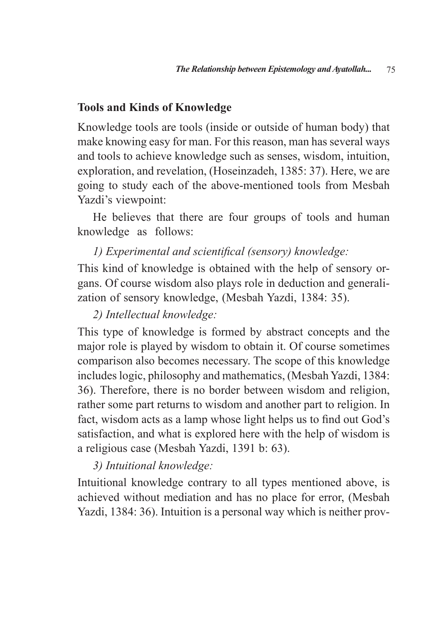#### **Tools and Kinds of Knowledge**

Knowledge tools are tools (inside or outside of human body) that make knowing easy for man. For this reason, man has several ways and tools to achieve knowledge such as senses, wisdom, intuition, exploration, and revelation, (Hoseinzadeh, 1385: 37). Here, we are going to study each of the above-mentioned tools from Mesbah Yazdi's viewpoint:

He believes that there are four groups of tools and human knowledge as follows:

### *1) Experimental and scientifical (sensory) knowledge:*

This kind of knowledge is obtained with the help of sensory organs. Of course wisdom also plays role in deduction and generalization of sensory knowledge, (Mesbah Yazdi, 1384: 35).

## *2) Intellectual knowledge:*

This type of knowledge is formed by abstract concepts and the major role is played by wisdom to obtain it. Of course sometimes comparison also becomes necessary. The scope of this knowledge includes logic, philosophy and mathematics, (Mesbah Yazdi, 1384: 36). Therefore, there is no border between wisdom and religion, rather some part returns to wisdom and another part to religion. In fact, wisdom acts as a lamp whose light helps us to find out God's satisfaction, and what is explored here with the help of wisdom is a religious case (Mesbah Yazdi, 1391 b: 63).

## *3) Intuitional knowledge:*

Intuitional knowledge contrary to all types mentioned above, is achieved without mediation and has no place for error, (Mesbah Yazdi, 1384: 36). Intuition is a personal way which is neither prov-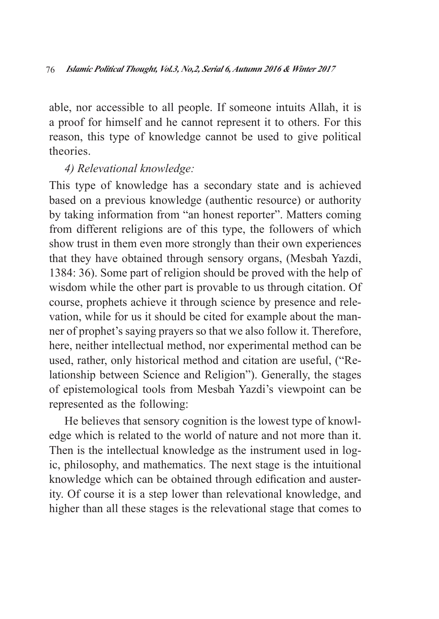able, nor accessible to all people. If someone intuits Allah, it is a proof for himself and he cannot represent it to others. For this reason, this type of knowledge cannot be used to give political theories.

#### *4) Relevational knowledge:*

This type of knowledge has a secondary state and is achieved based on a previous knowledge (authentic resource) or authority by taking information from "an honest reporter". Matters coming from different religions are of this type, the followers of which show trust in them even more strongly than their own experiences that they have obtained through sensory organs, (Mesbah Yazdi, 1384: 36). Some part of religion should be proved with the help of wisdom while the other part is provable to us through citation. Of course, prophets achieve it through science by presence and relevation, while for us it should be cited for example about the manner of prophet's saying prayers so that we also follow it. Therefore, here, neither intellectual method, nor experimental method can be used, rather, only historical method and citation are useful, ("Relationship between Science and Religion"). Generally, the stages of epistemological tools from Mesbah Yazdi's viewpoint can be represented as the following:

He believes that sensory cognition is the lowest type of knowledge which is related to the world of nature and not more than it. Then is the intellectual knowledge as the instrument used in logic, philosophy, and mathematics. The next stage is the intuitional knowledge which can be obtained through edification and austerity. Of course it is a step lower than relevational knowledge, and higher than all these stages is the relevational stage that comes to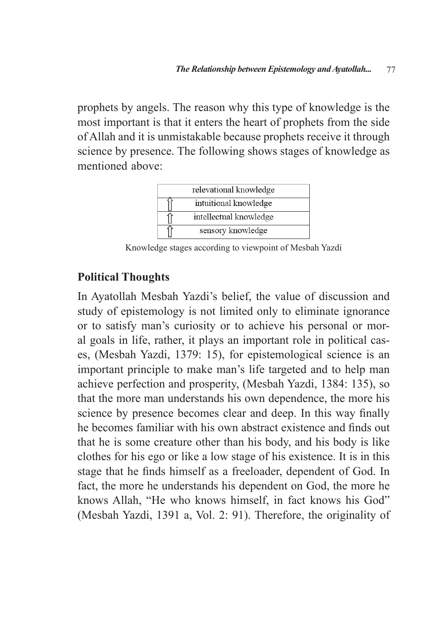prophets by angels. The reason why this type of knowledge is the most important is that it enters the heart of prophets from the side of Allah and it is unmistakable because prophets receive it through science by presence. The following shows stages of knowledge as mentioned above:



Knowledge stages according to viewpoint of Mesbah Yazdi

#### **Political Thoughts**

In Ayatollah Mesbah Yazdi's belief, the value of discussion and study of epistemology is not limited only to eliminate ignorance or to satisfy man's curiosity or to achieve his personal or moral goals in life, rather, it plays an important role in political cases, (Mesbah Yazdi, 1379: 15), for epistemological science is an important principle to make man's life targeted and to help man achieve perfection and prosperity, (Mesbah Yazdi, 1384: 135), so that the more man understands his own dependence, the more his science by presence becomes clear and deep. In this way finally he becomes familiar with his own abstract existence and finds out that he is some creature other than his body, and his body is like clothes for his ego or like a low stage of his existence. It is in this stage that he finds himself as a freeloader, dependent of God. In fact, the more he understands his dependent on God, the more he knows Allah, "He who knows himself, in fact knows his God" (Mesbah Yazdi, 1391 a, Vol. 2: 91). Therefore, the originality of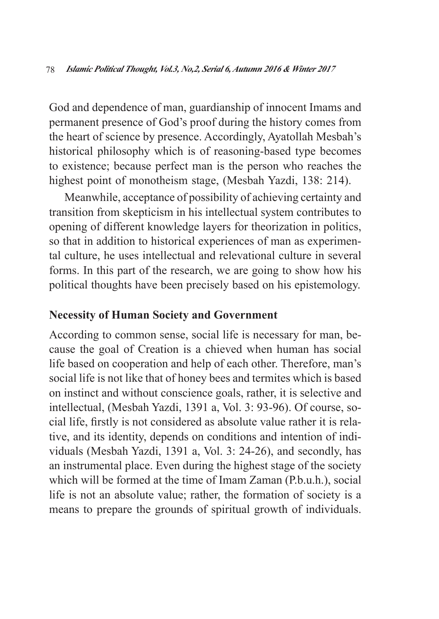God and dependence of man, guardianship of innocent Imams and permanent presence of God's proof during the history comes from the heart of science by presence. Accordingly, Ayatollah Mesbah's historical philosophy which is of reasoning-based type becomes to existence; because perfect man is the person who reaches the highest point of monotheism stage, (Mesbah Yazdi, 138: 214).

Meanwhile, acceptance of possibility of achieving certainty and transition from skepticism in his intellectual system contributes to opening of different knowledge layers for theorization in politics, so that in addition to historical experiences of man as experimental culture, he uses intellectual and relevational culture in several forms. In this part of the research, we are going to show how his political thoughts have been precisely based on his epistemology.

#### **Necessity of Human Society and Government**

According to common sense, social life is necessary for man, because the goal of Creation is a chieved when human has social life based on cooperation and help of each other. Therefore, man's social life is not like that of honey bees and termites which is based on instinct and without conscience goals, rather, it is selective and intellectual, (Mesbah Yazdi, 1391 a, Vol. 3: 93-96). Of course, social life, firstly is not considered as absolute value rather it is relative, and its identity, depends on conditions and intention of individuals (Mesbah Yazdi, 1391 a, Vol. 3: 24-26), and secondly, has an instrumental place. Even during the highest stage of the society which will be formed at the time of Imam Zaman (P.b.u.h.), social life is not an absolute value; rather, the formation of society is a means to prepare the grounds of spiritual growth of individuals.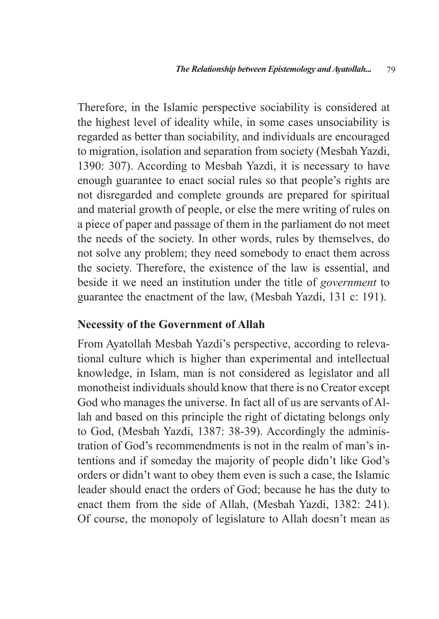Therefore, in the Islamic perspective sociability is considered at the highest level of ideality while, in some cases unsociability is regarded as better than sociability, and individuals are encouraged to migration, isolation and separation from society (Mesbah Yazdi, 1390: 307). According to Mesbah Yazdi, it is necessary to have enough guarantee to enact social rules so that people's rights are not disregarded and complete grounds are prepared for spiritual and material growth of people, or else the mere writing of rules on a piece of paper and passage of them in the parliament do not meet the needs of the society. In other words, rules by themselves, do not solve any problem; they need somebody to enact them across the society. Therefore, the existence of the law is essential, and beside it we need an institution under the title of *government* to guarantee the enactment of the law, (Mesbah Yazdi, 131 c: 191).

#### **Necessity of the Government of Allah**

From Ayatollah Mesbah Yazdi's perspective, according to relevational culture which is higher than experimental and intellectual knowledge, in Islam, man is not considered as legislator and all monotheist individuals should know that there is no Creator except God who manages the universe. In fact all of us are servants of Allah and based on this principle the right of dictating belongs only to God, (Mesbah Yazdi, 1387: 38-39). Accordingly the administration of God's recommendments is not in the realm of man's intentions and if someday the majority of people didn't like God's orders or didn't want to obey them even is such a case, the Islamic leader should enact the orders of God; because he has the duty to enact them from the side of Allah, (Mesbah Yazdi, 1382: 241). Of course, the monopoly of legislature to Allah doesn't mean as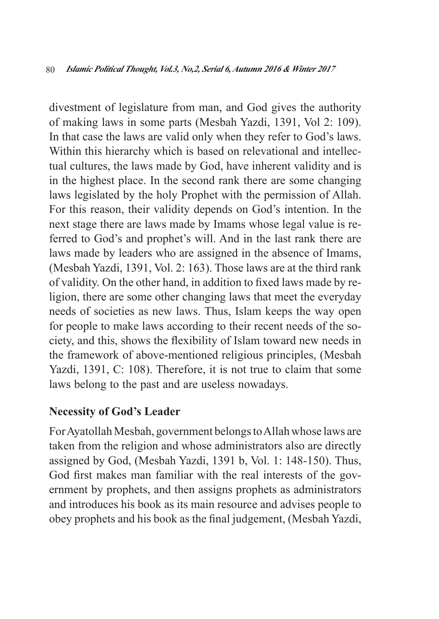divestment of legislature from man, and God gives the authority of making laws in some parts (Mesbah Yazdi, 1391, Vol 2: 109). In that case the laws are valid only when they refer to God's laws. Within this hierarchy which is based on relevational and intellectual cultures, the laws made by God, have inherent validity and is in the highest place. In the second rank there are some changing laws legislated by the holy Prophet with the permission of Allah. For this reason, their validity depends on God's intention. In the next stage there are laws made by Imams whose legal value is referred to God's and prophet's will. And in the last rank there are laws made by leaders who are assigned in the absence of Imams, (Mesbah Yazdi, 1391, Vol. 2: 163). Those laws are at the third rank of validity. On the other hand, in addition to fixed laws made by religion, there are some other changing laws that meet the everyday needs of societies as new laws. Thus, Islam keeps the way open for people to make laws according to their recent needs of the society, and this, shows the flexibility of Islam toward new needs in the framework of above-mentioned religious principles, (Mesbah Yazdi, 1391, C: 108). Therefore, it is not true to claim that some laws belong to the past and are useless nowadays.

#### **Necessity of God's Leader**

For Ayatollah Mesbah, government belongs to Allah whose laws are taken from the religion and whose administrators also are directly assigned by God, (Mesbah Yazdi, 1391 b, Vol. 1: 148-150). Thus, God first makes man familiar with the real interests of the government by prophets, and then assigns prophets as administrators and introduces his book as its main resource and advises people to obey prophets and his book as the final judgement, (Mesbah Yazdi,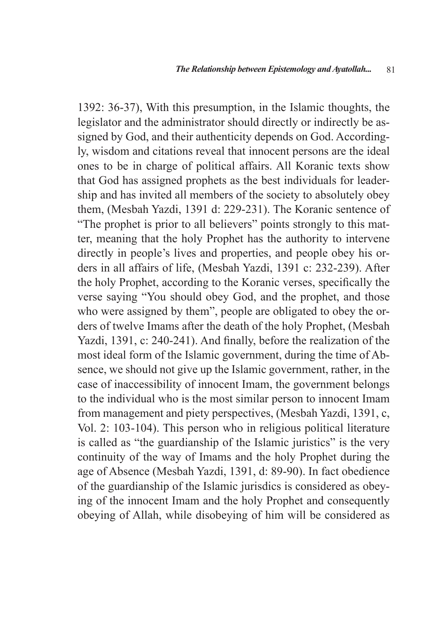1392: 36-37), With this presumption, in the Islamic thoughts, the legislator and the administrator should directly or indirectly be assigned by God, and their authenticity depends on God. Accordingly, wisdom and citations reveal that innocent persons are the ideal ones to be in charge of political affairs. All Koranic texts show that God has assigned prophets as the best individuals for leadership and has invited all members of the society to absolutely obey them, (Mesbah Yazdi, 1391 d: 229-231). The Koranic sentence of "The prophet is prior to all believers" points strongly to this matter, meaning that the holy Prophet has the authority to intervene directly in people's lives and properties, and people obey his orders in all affairs of life, (Mesbah Yazdi, 1391 c: 232-239). After the holy Prophet, according to the Koranic verses, specifically the verse saying "You should obey God, and the prophet, and those who were assigned by them", people are obligated to obey the orders of twelve Imams after the death of the holy Prophet, (Mesbah Yazdi, 1391, c: 240-241). And finally, before the realization of the most ideal form of the Islamic government, during the time of Absence, we should not give up the Islamic government, rather, in the case of inaccessibility of innocent Imam, the government belongs to the individual who is the most similar person to innocent Imam from management and piety perspectives, (Mesbah Yazdi, 1391, c, Vol. 2: 103-104). This person who in religious political literature is called as "the guardianship of the Islamic juristics" is the very continuity of the way of Imams and the holy Prophet during the age of Absence (Mesbah Yazdi, 1391, d: 89-90). In fact obedience of the guardianship of the Islamic jurisdics is considered as obeying of the innocent Imam and the holy Prophet and consequently obeying of Allah, while disobeying of him will be considered as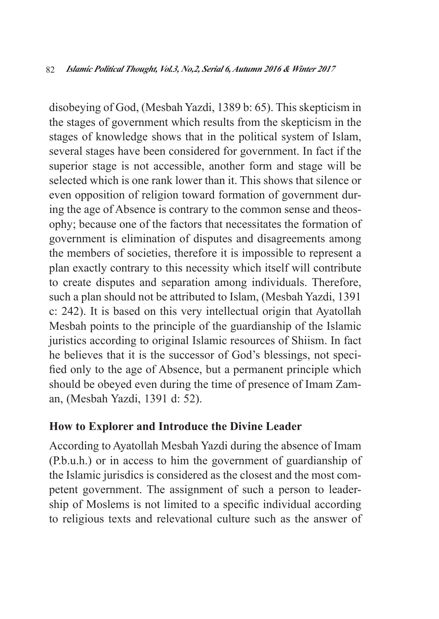disobeying of God, (Mesbah Yazdi, 1389 b: 65). This skepticism in the stages of government which results from the skepticism in the stages of knowledge shows that in the political system of Islam, several stages have been considered for government. In fact if the superior stage is not accessible, another form and stage will be selected which is one rank lower than it. This shows that silence or even opposition of religion toward formation of government during the age of Absence is contrary to the common sense and theosophy; because one of the factors that necessitates the formation of government is elimination of disputes and disagreements among the members of societies, therefore it is impossible to represent a plan exactly contrary to this necessity which itself will contribute to create disputes and separation among individuals. Therefore, such a plan should not be attributed to Islam, (Mesbah Yazdi, 1391 c: 242). It is based on this very intellectual origin that Ayatollah Mesbah points to the principle of the guardianship of the Islamic juristics according to original Islamic resources of Shiism. In fact he believes that it is the successor of God's blessings, not specified only to the age of Absence, but a permanent principle which should be obeyed even during the time of presence of Imam Zaman, (Mesbah Yazdi, 1391 d: 52).

#### **How to Explorer and Introduce the Divine Leader**

According to Ayatollah Mesbah Yazdi during the absence of Imam (P.b.u.h.) or in access to him the government of guardianship of the Islamic jurisdics is considered as the closest and the most competent government. The assignment of such a person to leadership of Moslems is not limited to a specific individual according to religious texts and relevational culture such as the answer of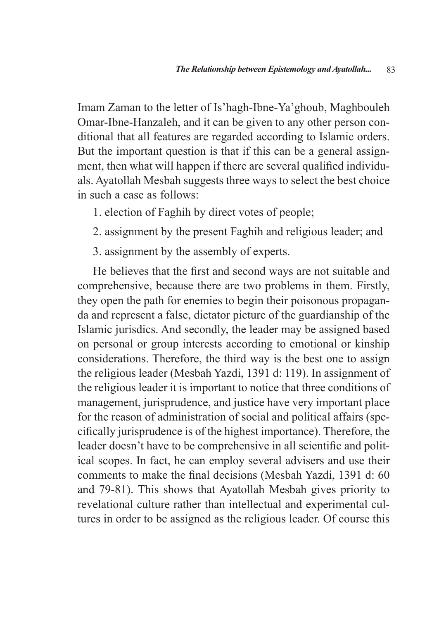Imam Zaman to the letter of Is'hagh-Ibne-Ya'ghoub, Maghbouleh Omar-Ibne-Hanzaleh, and it can be given to any other person conditional that all features are regarded according to Islamic orders. But the important question is that if this can be a general assignment, then what will happen if there are several qualified individuals. Ayatollah Mesbah suggests three ways to select the best choice in such a case as follows:

- 1. election of Faghih by direct votes of people;
- 2. assignment by the present Faghih and religious leader; and
- 3. assignment by the assembly of experts.

He believes that the first and second ways are not suitable and comprehensive, because there are two problems in them. Firstly, they open the path for enemies to begin their poisonous propaganda and represent a false, dictator picture of the guardianship of the Islamic jurisdics. And secondly, the leader may be assigned based on personal or group interests according to emotional or kinship considerations. Therefore, the third way is the best one to assign the religious leader (Mesbah Yazdi, 1391 d: 119). In assignment of the religious leader it is important to notice that three conditions of management, jurisprudence, and justice have very important place for the reason of administration of social and political affairs (specifically jurisprudence is of the highest importance). Therefore, the leader doesn't have to be comprehensive in all scientific and political scopes. In fact, he can employ several advisers and use their comments to make the final decisions (Mesbah Yazdi, 1391 d: 60 and 79-81). This shows that Ayatollah Mesbah gives priority to revelational culture rather than intellectual and experimental cultures in order to be assigned as the religious leader. Of course this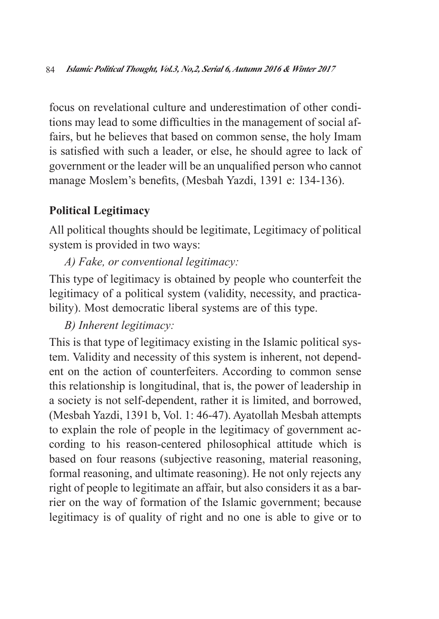focus on revelational culture and underestimation of other conditions may lead to some difficulties in the management of social affairs, but he believes that based on common sense, the holy Imam is satisfied with such a leader, or else, he should agree to lack of government or the leader will be an unqualified person who cannot manage Moslem's benefits, (Mesbah Yazdi, 1391 e: 134-136).

## **Political Legitimacy**

All political thoughts should be legitimate, Legitimacy of political system is provided in two ways:

*A) Fake, or conventional legitimacy:*

This type of legitimacy is obtained by people who counterfeit the legitimacy of a political system (validity, necessity, and practicability). Most democratic liberal systems are of this type.

*B) Inherent legitimacy:*

This is that type of legitimacy existing in the Islamic political system. Validity and necessity of this system is inherent, not dependent on the action of counterfeiters. According to common sense this relationship is longitudinal, that is, the power of leadership in a society is not self-dependent, rather it is limited, and borrowed, (Mesbah Yazdi, 1391 b, Vol. 1: 46-47). Ayatollah Mesbah attempts to explain the role of people in the legitimacy of government according to his reason-centered philosophical attitude which is based on four reasons (subjective reasoning, material reasoning, formal reasoning, and ultimate reasoning). He not only rejects any right of people to legitimate an affair, but also considers it as a barrier on the way of formation of the Islamic government; because legitimacy is of quality of right and no one is able to give or to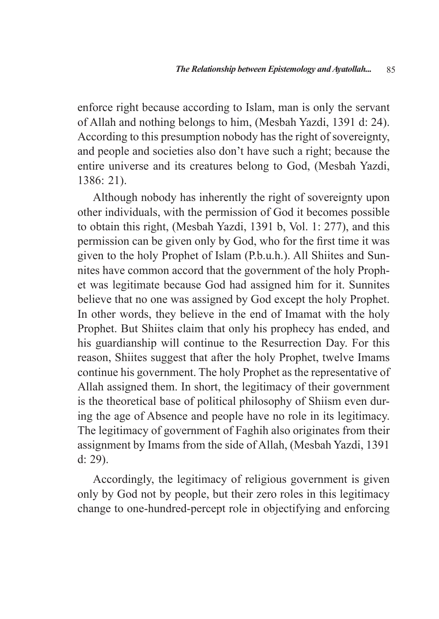enforce right because according to Islam, man is only the servant of Allah and nothing belongs to him, (Mesbah Yazdi, 1391 d: 24). According to this presumption nobody has the right of sovereignty, and people and societies also don't have such a right; because the entire universe and its creatures belong to God, (Mesbah Yazdi, 1386: 21).

Although nobody has inherently the right of sovereignty upon other individuals, with the permission of God it becomes possible to obtain this right, (Mesbah Yazdi, 1391 b, Vol. 1: 277), and this permission can be given only by God, who for the first time it was given to the holy Prophet of Islam (P.b.u.h.). All Shiites and Sunnites have common accord that the government of the holy Prophet was legitimate because God had assigned him for it. Sunnites believe that no one was assigned by God except the holy Prophet. In other words, they believe in the end of Imamat with the holy Prophet. But Shiites claim that only his prophecy has ended, and his guardianship will continue to the Resurrection Day. For this reason, Shiites suggest that after the holy Prophet, twelve Imams continue his government. The holy Prophet as the representative of Allah assigned them. In short, the legitimacy of their government is the theoretical base of political philosophy of Shiism even during the age of Absence and people have no role in its legitimacy. The legitimacy of government of Faghih also originates from their assignment by Imams from the side of Allah, (Mesbah Yazdi, 1391 d: 29).

Accordingly, the legitimacy of religious government is given only by God not by people, but their zero roles in this legitimacy change to one-hundred-percept role in objectifying and enforcing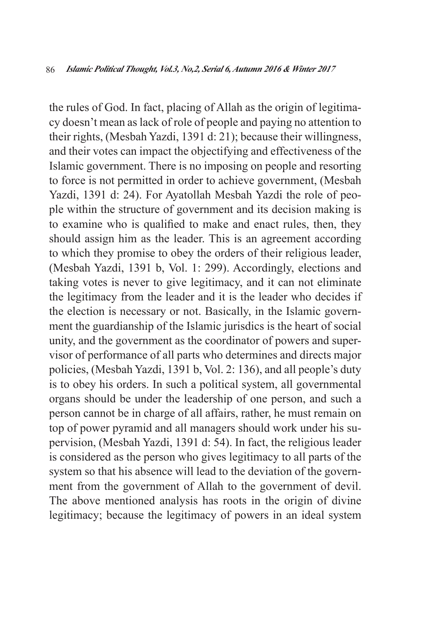the rules of God. In fact, placing of Allah as the origin of legitimacy doesn't mean as lack of role of people and paying no attention to their rights, (Mesbah Yazdi, 1391 d: 21); because their willingness, and their votes can impact the objectifying and effectiveness of the Islamic government. There is no imposing on people and resorting to force is not permitted in order to achieve government, (Mesbah Yazdi, 1391 d: 24). For Ayatollah Mesbah Yazdi the role of people within the structure of government and its decision making is to examine who is qualified to make and enact rules, then, they should assign him as the leader. This is an agreement according to which they promise to obey the orders of their religious leader, (Mesbah Yazdi, 1391 b, Vol. 1: 299). Accordingly, elections and taking votes is never to give legitimacy, and it can not eliminate the legitimacy from the leader and it is the leader who decides if the election is necessary or not. Basically, in the Islamic government the guardianship of the Islamic jurisdics is the heart of social unity, and the government as the coordinator of powers and supervisor of performance of all parts who determines and directs major policies, (Mesbah Yazdi, 1391 b, Vol. 2: 136), and all people's duty is to obey his orders. In such a political system, all governmental organs should be under the leadership of one person, and such a person cannot be in charge of all affairs, rather, he must remain on top of power pyramid and all managers should work under his supervision, (Mesbah Yazdi, 1391 d: 54). In fact, the religious leader is considered as the person who gives legitimacy to all parts of the system so that his absence will lead to the deviation of the government from the government of Allah to the government of devil. The above mentioned analysis has roots in the origin of divine legitimacy; because the legitimacy of powers in an ideal system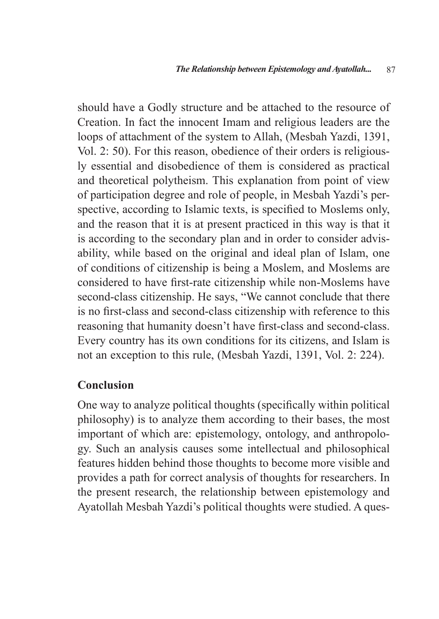should have a Godly structure and be attached to the resource of Creation. In fact the innocent Imam and religious leaders are the loops of attachment of the system to Allah, (Mesbah Yazdi, 1391, Vol. 2: 50). For this reason, obedience of their orders is religiously essential and disobedience of them is considered as practical and theoretical polytheism. This explanation from point of view of participation degree and role of people, in Mesbah Yazdi's perspective, according to Islamic texts, is specified to Moslems only, and the reason that it is at present practiced in this way is that it is according to the secondary plan and in order to consider advisability, while based on the original and ideal plan of Islam, one of conditions of citizenship is being a Moslem, and Moslems are considered to have first-rate citizenship while non-Moslems have second-class citizenship. He says, "We cannot conclude that there is no first-class and second-class citizenship with reference to this reasoning that humanity doesn't have first-class and second-class. Every country has its own conditions for its citizens, and Islam is not an exception to this rule, (Mesbah Yazdi, 1391, Vol. 2: 224).

#### **Conclusion**

One way to analyze political thoughts (specifically within political philosophy) is to analyze them according to their bases, the most important of which are: epistemology, ontology, and anthropology. Such an analysis causes some intellectual and philosophical features hidden behind those thoughts to become more visible and provides a path for correct analysis of thoughts for researchers. In the present research, the relationship between epistemology and Ayatollah Mesbah Yazdi's political thoughts were studied. A ques-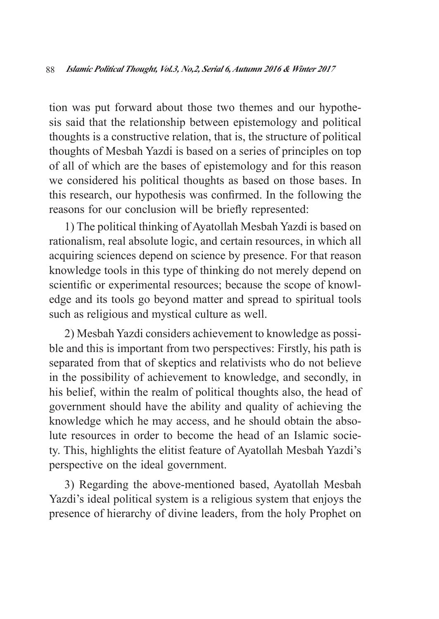tion was put forward about those two themes and our hypothesis said that the relationship between epistemology and political thoughts is a constructive relation, that is, the structure of political thoughts of Mesbah Yazdi is based on a series of principles on top of all of which are the bases of epistemology and for this reason we considered his political thoughts as based on those bases. In this research, our hypothesis was confirmed. In the following the reasons for our conclusion will be briefly represented:

1) The political thinking of Ayatollah Mesbah Yazdi is based on rationalism, real absolute logic, and certain resources, in which all acquiring sciences depend on science by presence. For that reason knowledge tools in this type of thinking do not merely depend on scientific or experimental resources; because the scope of knowledge and its tools go beyond matter and spread to spiritual tools such as religious and mystical culture as well.

2) Mesbah Yazdi considers achievement to knowledge as possible and this is important from two perspectives: Firstly, his path is separated from that of skeptics and relativists who do not believe in the possibility of achievement to knowledge, and secondly, in his belief, within the realm of political thoughts also, the head of government should have the ability and quality of achieving the knowledge which he may access, and he should obtain the absolute resources in order to become the head of an Islamic society. This, highlights the elitist feature of Ayatollah Mesbah Yazdi's perspective on the ideal government.

3) Regarding the above-mentioned based, Ayatollah Mesbah Yazdi's ideal political system is a religious system that enjoys the presence of hierarchy of divine leaders, from the holy Prophet on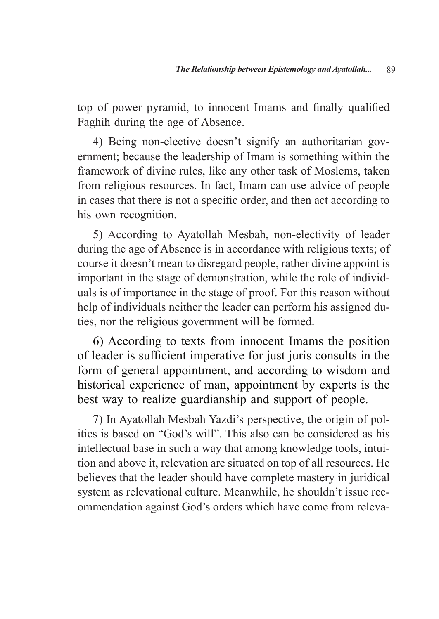top of power pyramid, to innocent Imams and finally qualified Faghih during the age of Absence.

4) Being non-elective doesn't signify an authoritarian government; because the leadership of Imam is something within the framework of divine rules, like any other task of Moslems, taken from religious resources. In fact, Imam can use advice of people in cases that there is not a specific order, and then act according to his own recognition.

5) According to Ayatollah Mesbah, non-electivity of leader during the age of Absence is in accordance with religious texts; of course it doesn't mean to disregard people, rather divine appoint is important in the stage of demonstration, while the role of individuals is of importance in the stage of proof. For this reason without help of individuals neither the leader can perform his assigned duties, nor the religious government will be formed.

6) According to texts from innocent Imams the position of leader is sufficient imperative for just juris consults in the form of general appointment, and according to wisdom and historical experience of man, appointment by experts is the best way to realize guardianship and support of people.

7) In Ayatollah Mesbah Yazdi's perspective, the origin of politics is based on "God's will". This also can be considered as his intellectual base in such a way that among knowledge tools, intuition and above it, relevation are situated on top of all resources. He believes that the leader should have complete mastery in juridical system as relevational culture. Meanwhile, he shouldn't issue recommendation against God's orders which have come from releva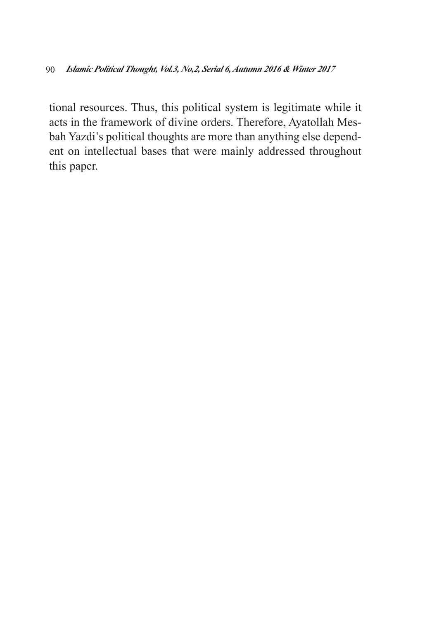tional resources. Thus, this political system is legitimate while it acts in the framework of divine orders. Therefore, Ayatollah Mesbah Yazdi's political thoughts are more than anything else dependent on intellectual bases that were mainly addressed throughout this paper.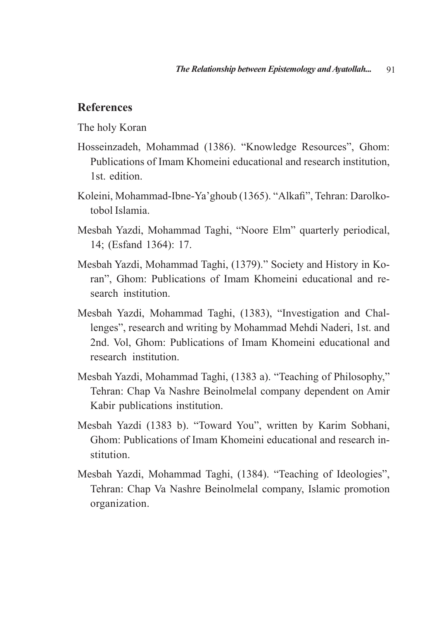#### **References**

The holy Koran

- Hosseinzadeh, Mohammad (1386). "Knowledge Resources", Ghom: Publications of Imam Khomeini educational and research institution, 1st. edition.
- Koleini, Mohammad-Ibne-Ya'ghoub (1365). "Alkafi", Tehran: Darolkotobol Islamia.
- Mesbah Yazdi, Mohammad Taghi, "Noore Elm" quarterly periodical, 14; (Esfand 1364): 17.
- Mesbah Yazdi, Mohammad Taghi, (1379)." Society and History in Koran", Ghom: Publications of Imam Khomeini educational and research institution.
- Mesbah Yazdi, Mohammad Taghi, (1383), "Investigation and Challenges", research and writing by Mohammad Mehdi Naderi, 1st. and 2nd. Vol, Ghom: Publications of Imam Khomeini educational and research institution.
- Mesbah Yazdi, Mohammad Taghi, (1383 a). "Teaching of Philosophy," Tehran: Chap Va Nashre Beinolmelal company dependent on Amir Kabir publications institution.
- Mesbah Yazdi (1383 b). "Toward You", written by Karim Sobhani, Ghom: Publications of Imam Khomeini educational and research institution.
- Mesbah Yazdi, Mohammad Taghi, (1384). "Teaching of Ideologies", Tehran: Chap Va Nashre Beinolmelal company, Islamic promotion organization.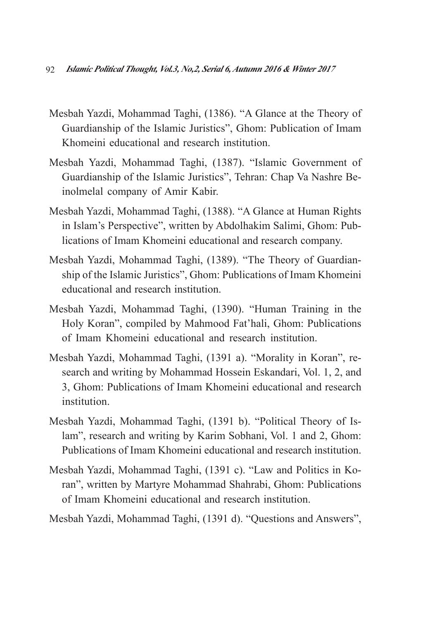- Mesbah Yazdi, Mohammad Taghi, (1386). "A Glance at the Theory of Guardianship of the Islamic Juristics", Ghom: Publication of Imam Khomeini educational and research institution.
- Mesbah Yazdi, Mohammad Taghi, (1387). "Islamic Government of Guardianship of the Islamic Juristics", Tehran: Chap Va Nashre Beinolmelal company of Amir Kabir.
- Mesbah Yazdi, Mohammad Taghi, (1388). "A Glance at Human Rights in Islam's Perspective", written by Abdolhakim Salimi, Ghom: Publications of Imam Khomeini educational and research company.
- Mesbah Yazdi, Mohammad Taghi, (1389). "The Theory of Guardianship of the Islamic Juristics", Ghom: Publications of Imam Khomeini educational and research institution.
- Mesbah Yazdi, Mohammad Taghi, (1390). "Human Training in the Holy Koran", compiled by Mahmood Fat'hali, Ghom: Publications of Imam Khomeini educational and research institution.
- Mesbah Yazdi, Mohammad Taghi, (1391 a). "Morality in Koran", research and writing by Mohammad Hossein Eskandari, Vol. 1, 2, and 3, Ghom: Publications of Imam Khomeini educational and research institution.
- Mesbah Yazdi, Mohammad Taghi, (1391 b). "Political Theory of Islam", research and writing by Karim Sobhani, Vol. 1 and 2, Ghom: Publications of Imam Khomeini educational and research institution.
- Mesbah Yazdi, Mohammad Taghi, (1391 c). "Law and Politics in Koran", written by Martyre Mohammad Shahrabi, Ghom: Publications of Imam Khomeini educational and research institution.
- Mesbah Yazdi, Mohammad Taghi, (1391 d). "Questions and Answers",